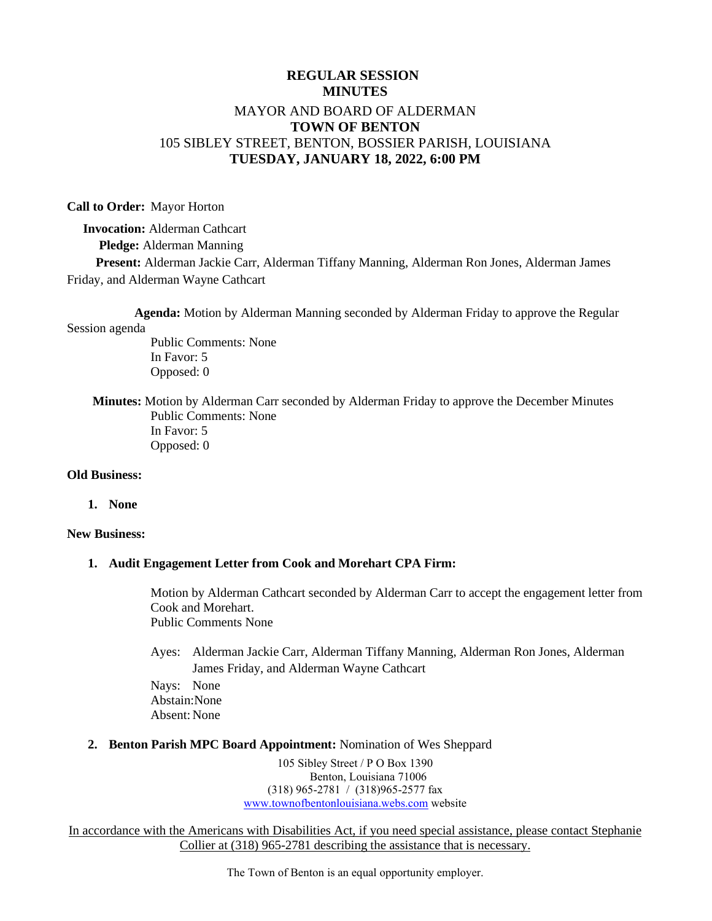# **REGULAR SESSION MINUTES** MAYOR AND BOARD OF ALDERMAN **TOWN OF BENTON** 105 SIBLEY STREET, BENTON, BOSSIER PARISH, LOUISIANA **TUESDAY, JANUARY 18, 2022, 6:00 PM**

**Call to Order:** Mayor Horton

 **Invocation:** Alderman Cathcart  **Pledge:** Alderman Manning  **Present:** Alderman Jackie Carr, Alderman Tiffany Manning, Alderman Ron Jones, Alderman James

Friday, and Alderman Wayne Cathcart

 **Agenda:** Motion by Alderman Manning seconded by Alderman Friday to approve the Regular Session agenda

Public Comments: None In Favor: 5 Opposed: 0

 **Minutes:** Motion by Alderman Carr seconded by Alderman Friday to approve the December Minutes Public Comments: None In Favor: 5 Opposed: 0

#### **Old Business:**

### **1. None**

#### **New Business:**

### **1. Audit Engagement Letter from Cook and Morehart CPA Firm:**

Motion by Alderman Cathcart seconded by Alderman Carr to accept the engagement letter from Cook and Morehart. Public Comments None

Ayes: Alderman Jackie Carr, Alderman Tiffany Manning, Alderman Ron Jones, Alderman James Friday, and Alderman Wayne Cathcart

Nays: None Abstain:None Absent: None

## **2. Benton Parish MPC Board Appointment:** Nomination of Wes Sheppard

105 Sibley Street / P O Box 1390 Benton, Louisiana 71006 (318) 965-2781 / (318)965-2577 fax [www.townofbentonlouisiana.webs.com](http://www.townofbentonlouisiana.webs.com/) website

In accordance with the Americans with Disabilities Act, if you need special assistance, please contact Stephanie Collier at (318) 965-2781 describing the assistance that is necessary.

The Town of Benton is an equal opportunity employer.